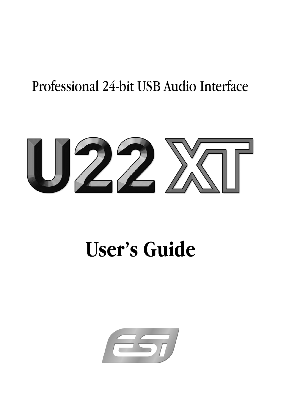## Professional 24-bit USB Audio Interface



# **User's Guide**

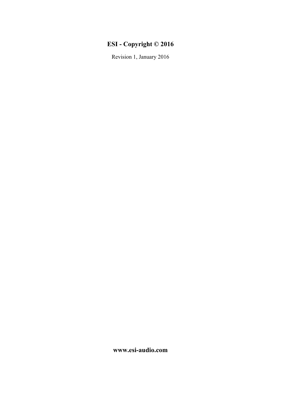## **ESI - Copyright © 2016**

Revision 1, January 2016

**www.esi-audio.com**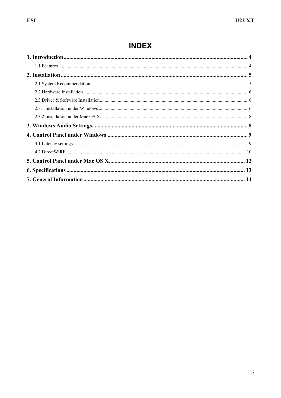## **INDEX**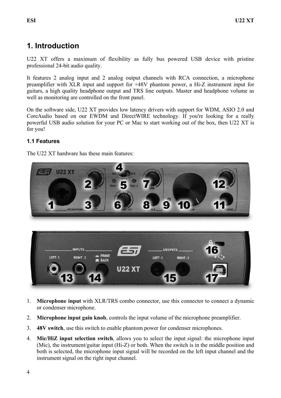## **1. Introduction**

U22 XT offers a maximum of flexibility as fully bus powered USB device with pristine professional 24-bit audio quality.

It features 2 analog input and 2 analog output channels with RCA connection, a microphone preamplifier with XLR input and support for +48V phantom power, a Hi-Z instrument input for guitars, a high quality headphone output and TRS line outputs. Master and headphone volume as well as monitoring are controlled on the front panel.

On the software side, U22 XT provides low latency drivers with support for WDM, ASIO 2.0 and CoreAudio based on our EWDM and DirectWIRE technology. If you're looking for a really powerful USB audio solution for your PC or Mac to start working out of the box, then U22 XT is for you!

#### **1.1 Features**

The U22 XT hardware has these main features:



- 1. **Microphone input** with XLR/TRS combo connector, use this connector to connect a dynamic or condenser microphone.
- 2. **Microphone input gain knob**, controls the input volume of the microphone preamplifier.
- 3. **48V switch**, use this switch to enable phantom power for condenser microphones.
- 4. **Mic/HiZ input selection switch**, allows you to select the input signal: the microphone input (Mic), the instrument/guitar input (Hi-Z) or both. When the switch is in the middle position and both is selected, the microphone input signal will be recorded on the left input channel and the instrument signal on the right input channel.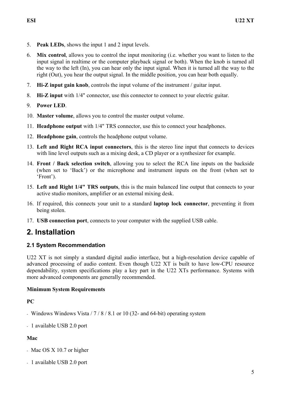- 5. **Peak LEDs**, shows the input 1 and 2 input levels.
- 6. **Mix control**, allows you to control the input monitoring (i.e. whether you want to listen to the input signal in realtime or the computer playback signal or both). When the knob is turned all the way to the left (In), you can hear only the input signal. When it is turned all the way to the right (Out), you hear the output signal. In the middle position, you can hear both equally.
- 7. **Hi-Z input gain knob**, controls the input volume of the instrument / guitar input.
- 8. **Hi-Z input** with 1/4" connector, use this connector to connect to your electric guitar.
- 9. **Power LED**.
- 10. **Master volume**, allows you to control the master output volume.
- 11. **Headphone output** with 1/4" TRS connector, use this to connect your headphones.
- 12. **Headphone gain**, controls the headphone output volume.
- 13. **Left and Right RCA input connectors**, this is the stereo line input that connects to devices with line level outputs such as a mixing desk, a CD player or a synthesizer for example.
- 14. **Front / Back selection switch**, allowing you to select the RCA line inputs on the backside (when set to 'Back') or the microphone and instrument inputs on the front (when set to 'Front').
- 15. **Left and Right 1/4" TRS outputs**, this is the main balanced line output that connects to your active studio monitors, amplifier or an external mixing desk.
- 16. If required, this connects your unit to a standard **laptop lock connector**, preventing it from being stolen.
- 17. **USB connection port**, connects to your computer with the supplied USB cable.

## **2. Installation**

#### **2.1 System Recommendation**

U22 XT is not simply a standard digital audio interface, but a high-resolution device capable of advanced processing of audio content. Even though U22 XT is built to have low-CPU resource dependability, system specifications play a key part in the U22 XTs performance. Systems with more advanced components are generally recommended.

#### **Minimum System Requirements**

#### **PC**

- Windows Windows Vista / 7 / 8 / 8.1 or 10 (32- and 64-bit) operating system
- 1 available USB 2.0 port

#### **Mac**

- Mac OS X 10.7 or higher
- 1 available USB 2.0 port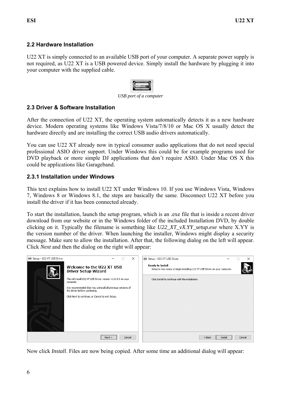#### **2.2 Hardware Installation**

U22 XT is simply connected to an available USB port of your computer. A separate power supply is not required, as U22 XT is a USB powered device. Simply install the hardware by plugging it into your computer with the supplied cable.



*USB port of a computer* 

#### **2.3 Driver & Software Installation**

After the connection of U22 XT, the operating system automatically detects it as a new hardware device. Modern operating systems like Windows Vista/7/8/10 or Mac OS X usually detect the hardware directly and are installing the correct USB audio drivers automatically.

You can use U22 XT already now in typical consumer audio applications that do not need special professional ASIO driver support. Under Windows this could be for example programs used for DVD playback or more simple DJ applications that don't require ASIO. Under Mac OS X this could be applications like Garageband.

#### **2.3.1 Installation under Windows**

This text explains how to install U22 XT under Windows 10. If you use Windows Vista, Windows 7, Windows 8 or Windows 8.1, the steps are basically the same. Disconnect U22 XT before you install the driver if it has been connected already.

To start the installation, launch the setup program, which is an .exe file that is inside a recent driver download from our website or in the Windows folder of the included Installation DVD, by double clicking on it. Typically the filename is something like *U22\_XT\_vX.YY\_setup.exe* where X.YY is the version number of the driver. When launching the installer, Windows might display a security message. Make sure to allow the installation. After that, the following dialog on the left will appear. Click *Next* and then the dialog on the right will appear:

| Setup - U22 XT USB Driver | $\times$                                                                                       | Setup - U22 XT USB Driver                                                                             | $\times$ |
|---------------------------|------------------------------------------------------------------------------------------------|-------------------------------------------------------------------------------------------------------|----------|
|                           | Welcome to the U22 XT USB<br><b>Driver Setup Wizard</b>                                        | <b>Ready to Install</b><br>Setup is now ready to begin installing U22 XT USB Driver on your computer. |          |
|                           | This will install U22 XT USB Driver version v1.0.0.0 on your<br>computer.                      | Click Install to continue with the installation.                                                      |          |
|                           | It is recommended that you uninstall all previous versions of<br>the driver before continuing. |                                                                                                       |          |
|                           | Click Next to continue, or Cancel to exit Setup.                                               |                                                                                                       |          |
|                           |                                                                                                |                                                                                                       |          |
|                           |                                                                                                |                                                                                                       |          |
|                           |                                                                                                |                                                                                                       |          |
|                           |                                                                                                |                                                                                                       |          |
|                           | Cancel<br>Next                                                                                 | $<$ Back<br>Install                                                                                   | Cancel   |

Now click *Install*. Files are now being copied. After some time an additional dialog will appear: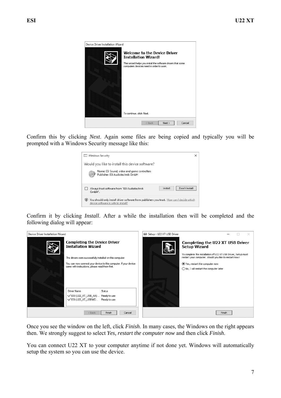

Confirm this by clicking *Next*. Again some files are being copied and typically you will be prompted with a Windows Security message like this:



Confirm it by clicking *Install*. After a while the installation then will be completed and the following dialog will appear:



Once you see the window on the left, click *Finish*. In many cases, the Windows on the right appears then. We strongly suggest to select *Yes, restart the computer now* and then click *Finish*.

You can connect U22 XT to your computer anytime if not done yet. Windows will automatically setup the system so you can use the device.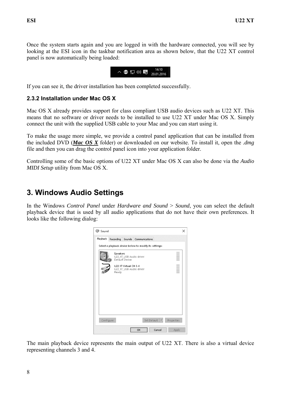Once the system starts again and you are logged in with the hardware connected, you will see by looking at the ESI icon in the taskbar notification area as shown below, that the U22 XT control panel is now automatically being loaded:



If you can see it, the driver installation has been completed successfully.

#### **2.3.2 Installation under Mac OS X**

Mac OS X already provides support for class compliant USB audio devices such as U22 XT. This means that no software or driver needs to be installed to use U22 XT under Mac OS X. Simply connect the unit with the supplied USB cable to your Mac and you can start using it.

To make the usage more simple, we provide a control panel application that can be installed from the included DVD (*Mac OS X* folder) or downloaded on our website. To install it, open the *.dmg* file and then you can drag the control panel icon into your application folder.

Controlling some of the basic options of U22 XT under Mac OS X can also be done via the *Audio MIDI Setup* utility from Mac OS X.

## **3. Windows Audio Settings**

In the Windows *Control Panel* under *Hardware and Sound* > *Sound*, you can select the default playback device that is used by all audio applications that do not have their own preferences. It looks like the following dialog:

| Sound                                                  |                  |                       |                         |             |            | × |
|--------------------------------------------------------|------------------|-----------------------|-------------------------|-------------|------------|---|
| Playback                                               | Recording Sounds |                       | Communications          |             |            |   |
| Select a playback device below to modify its settings: |                  |                       |                         |             |            |   |
|                                                        | Speakers         | Default Device        | U22_XT_USB Audio driver |             |            |   |
|                                                        | Ready            | U22 XT Virtual CH 3-4 | U22_XT_USB Audio driver |             |            |   |
|                                                        |                  |                       |                         |             |            |   |
|                                                        |                  |                       |                         |             |            |   |
|                                                        |                  |                       |                         |             |            |   |
|                                                        |                  |                       |                         |             |            |   |
| Configure                                              |                  |                       |                         | Set Default | Properties |   |
|                                                        |                  |                       | OK                      | Cancel      | Apply      |   |

The main playback device represents the main output of U22 XT. There is also a virtual device representing channels 3 and 4.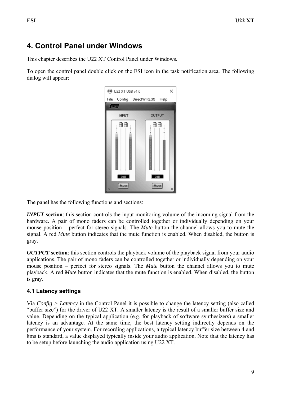## **4. Control Panel under Windows**

This chapter describes the U22 XT Control Panel under Windows.

To open the control panel double click on the ESI icon in the task notification area. The following dialog will appear:

| U22 XT USB v1.0      |                                                         |   |
|----------------------|---------------------------------------------------------|---|
|                      | File Config DirectWIRE(R) Help                          |   |
| 每                    |                                                         |   |
| <b>INPUT</b>         | <b>OUTPUT</b>                                           |   |
| <br>i<br>OdB<br>Mute | ₿<br>╖<br> <br> <br> <br> <br> <br> <br><br>OdB<br>Mute | Q |

The panel has the following functions and sections:

*INPUT* section: this section controls the input monitoring volume of the incoming signal from the hardware. A pair of mono faders can be controlled together or individually depending on your mouse position – perfect for stereo signals. The *Mute* button the channel allows you to mute the signal. A red *Mute* button indicates that the mute function is enabled. When disabled, the button is gray.

*OUTPUT* **section**: this section controls the playback volume of the playback signal from your audio applications. The pair of mono faders can be controlled together or individually depending on your mouse position – perfect for stereo signals. The *Mute* button the channel allows you to mute playback. A red *Mute* button indicates that the mute function is enabled. When disabled, the button is gray.

#### **4.1 Latency settings**

Via *Config > Latency* in the Control Panel it is possible to change the latency setting (also called "buffer size") for the driver of U22 XT. A smaller latency is the result of a smaller buffer size and value. Depending on the typical application (e.g. for playback of software synthesizers) a smaller latency is an advantage. At the same time, the best latency setting indirectly depends on the performance of your system. For recording applications, a typical latency buffer size between 4 and 8ms is standard, a value displayed typically inside your audio application. Note that the latency has to be setup before launching the audio application using U22 XT.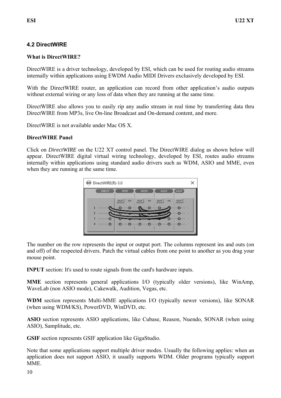#### **4.2 DirectWIRE**

#### **What is DirectWIRE?**

DirectWIRE is a driver technology, developed by ESI, which can be used for routing audio streams internally within applications using EWDM Audio MIDI Drivers exclusively developed by ESI.

With the DirectWIRE router, an application can record from other application's audio outputs without external wiring or any loss of data when they are running at the same time.

DirectWIRE also allows you to easily rip any audio stream in real time by transferring data thru DirectWIRE from MP3s, live On-line Broadcast and On-demand content, and more.

DirectWIRE is not available under Mac OS X.

#### **DirectWIRE Panel**

Click on *DirectWIRE* on the U22 XT control panel. The DirectWIRE dialog as shown below will appear. DirectWIRE digital virtual wiring technology, developed by ESI, routes audio streams internally within applications using standard audio drivers such as WDM, ASIO and MME, even when they are running at the same time.



The number on the row represents the input or output port. The columns represent ins and outs (on and off) of the respected drivers. Patch the virtual cables from one point to another as you drag your mouse point.

**INPUT** section: It's used to route signals from the card's hardware inputs.

**MME** section represents general applications I/O (typically older versions), like WinAmp, WaveLab (non ASIO mode), Cakewalk, Audition, Vegas, etc.

**WDM** section represents Multi-MME applications I/O (typically newer versions), like SONAR (when using WDM/KS), PowerDVD, WinDVD, etc.

**ASIO** section represents ASIO applications, like Cubase, Reason, Nuendo, SONAR (when using ASIO), Samplitude, etc.

**GSIF** section represents GSIF application like GigaStudio.

Note that some applications support multiple driver modes. Usually the following applies: when an application does not support ASIO, it usually supports WDM. Older programs typically support MME.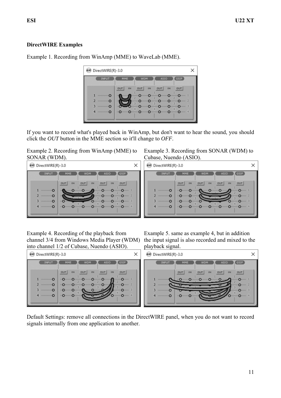#### **DirectWIRE Examples**

Example 1. Recording from WinAmp (MME) to WaveLab (MME).

#### DirectWIRE(R)-3.0  $\times$ **INPUT** GSIF OUT IN  $our$  $\overline{1}N$  $\overline{1}N$  $ovr$  $our$ Ō ō Ò.  $\overline{2}$ ō o Ō ō ō  $\circ$ o  $\circ$  $\circ$ o  $\overline{c}$ ۰O o  $\circ$ Ō O

If you want to record what's played back in WinAmp, but don't want to hear the sound, you should click the *OUT* button in the MME section so it'll change to *OFF*.

Example 2. Recording from WinAmp (MME) to SONAR (WDM).



#### Example 3. Recording from SONAR (WDM) to Cubase, Nuendo (ASIO).



Example 4. Recording of the playback from channel 3/4 from Windows Media Player (WDM) into channel 1/2 of Cubase, Nuendo (ASIO).

Example 5. same as example 4, but in addition the input signal is also recorded and mixed to the playback signal.



Default Settings: remove all connections in the DirectWIRE panel, when you do not want to record signals internally from one application to another.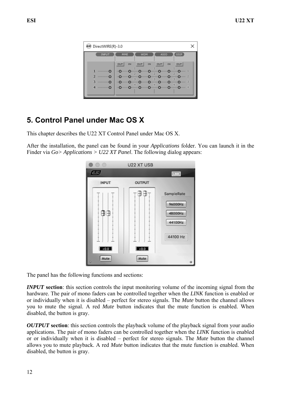| DirectWIRE(R)-3.0    |                                                                                                                               |  |
|----------------------|-------------------------------------------------------------------------------------------------------------------------------|--|
| INPUT                | GSIF<br>MME<br><b>WDM</b><br><b>ASIO</b>                                                                                      |  |
|                      | out  <br>OUT<br><b>OUT</b><br><b>IN</b><br><b>OUT</b><br><b>IN</b><br><b>IN</b>                                               |  |
|                      | <b>InQuiring Quiring Quiring Quiring Quiring Quiring Quiring Quiring 1</b>                                                    |  |
| $\ldots$ $\Omega$    | <b>"O" The O" The Community O" The O" The O" The O" The O" The O" The O" The O" The O" The O" The O" The O" The O</b>         |  |
| <b>Communication</b> | <b>"O" D" O" D" O" D" O" D" O" D" O" D" O" D" O" O" D" O"</b><br><b>In Ormano Ormano Ormano Ormano Ormano Ormano Ormano 4</b> |  |
|                      |                                                                                                                               |  |

## **5. Control Panel under Mac OS X**

This chapter describes the U22 XT Control Panel under Mac OS X.

After the installation, the panel can be found in your *Applications* folder. You can launch it in the Finder via *Go> Applications > U22 XT Panel*. The following dialog appears:



The panel has the following functions and sections:

*INPUT* section: this section controls the input monitoring volume of the incoming signal from the hardware. The pair of mono faders can be controlled together when the *LINK* function is enabled or or individually when it is disabled – perfect for stereo signals. The *Mute* button the channel allows you to mute the signal. A red *Mute* button indicates that the mute function is enabled. When disabled, the button is gray.

*OUTPUT* section: this section controls the playback volume of the playback signal from your audio applications. The pair of mono faders can be controlled together when the *LINK* function is enabled or or individually when it is disabled – perfect for stereo signals. The *Mute* button the channel allows you to mute playback. A red *Mute* button indicates that the mute function is enabled. When disabled, the button is gray.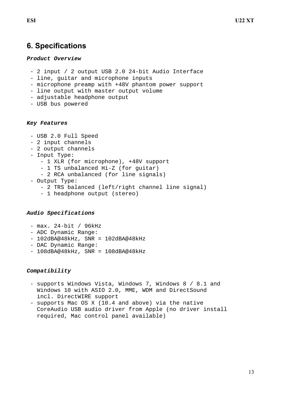### **6. Specifications**

#### *Product Overview*

- 2 input / 2 output USB 2.0 24-bit Audio Interface
- line, guitar and microphone inputs
- microphone preamp with +48V phantom power support
- line output with master output volume
- adjustable headphone output
- USB bus powered

#### *Key Features*

- USB 2.0 Full Speed
- 2 input channels
- 2 output channels
- Input Type:
	- 1 XLR (for microphone), +48V support
	- 1 TS unbalanced Hi-Z (for guitar)
	- 2 RCA unbalanced (for line signals)
- Output Type:
	- 2 TRS balanced (left/right channel line signal)
	- 1 headphone output (stereo)

#### *Audio Specifications*

- max. 24-bit / 96kHz
- ADC Dynamic Range:
- 102dBA@48kHz, SNR = 102dBA@48kHz
- DAC Dynamic Range:
- 108dBA@48kHz, SNR = 108dBA@48kHz

#### *Compatibility*

- supports Windows Vista, Windows 7, Windows 8 / 8.1 and Windows 10 with ASIO 2.0, MME, WDM and DirectSound incl. DirectWIRE support
- supports Mac OS X (10.4 and above) via the native CoreAudio USB audio driver from Apple (no driver install required, Mac control panel available)